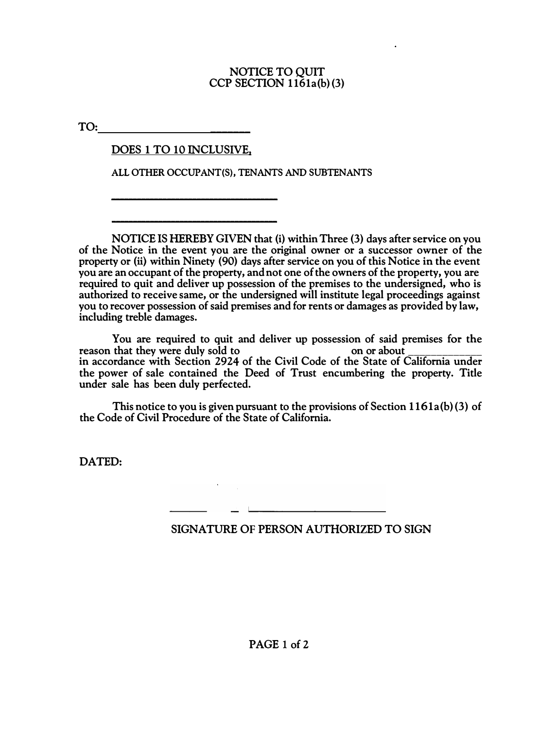#### **NOTICE TO QUIT CCP SECTION 1161a(b) (3)**

**TO: \_\_\_\_\_\_\_**

## **DOES 1 TO 10 INCLUSIVE,**

\_\_\_\_\_\_\_\_\_\_\_\_\_\_\_\_\_\_\_\_\_\_\_\_\_\_\_\_\_\_\_\_\_\_\_\_\_\_\_

\_\_\_\_\_\_\_\_\_\_\_\_\_\_\_\_\_\_\_\_\_\_\_\_\_\_\_\_\_\_\_\_\_\_\_\_\_\_\_

**ALL OTHER OCCUPANT(S), TENANTS AND SUBTENANTS** 

**NOTICE ISHEREBY GIVEN that (i) within Three (3) days after service on you of the Notice in the event you are the original owner or a successor owner of the property or (ii) within Ninety (90) days after service on you of this Notice in the event you are an occupant of the property, andnot one of the owners of the property, you are required to quit and deliver up possession of the premises to the undersigned, who is authorized to receive same, or the undersigned will institute legal proceedings against you to recover possession of said premises and for rents or damages as provided by law, including treble damages.** 

**You are required to quit and deliver up possession of said premises for the reason that they were duly sold to in accordance with Section 2924 of the Civil Code of the State of California under the power of sale contained the Deed of Trust encumbering the property. Title under sale has been duly perfected.** 

**This notice to you is given pursuant to the provisions of Section 1161a(b) (3) of the Code of Civil Procedure of the State of California.** 

**DATED:** 

# **SIGNATURE OF PERSON AUTHORIZED TO SIGN**